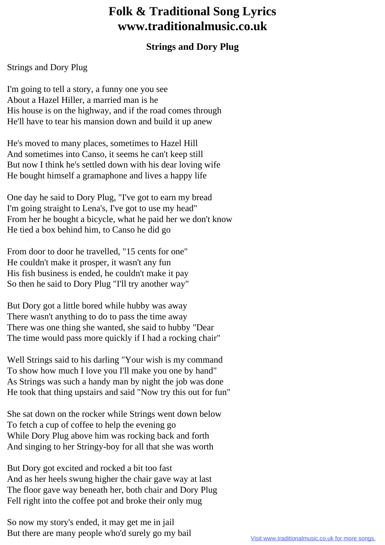## **Folk & Traditional Song Lyrics www.traditionalmusic.co.uk**

## **Strings and Dory Plug**

## Strings and Dory Plug

I'm going to tell a story, a funny one you see About a Hazel Hiller, a married man is he His house is on the highway, and if the road comes through He'll have to tear his mansion down and build it up anew

He's moved to many places, sometimes to Hazel Hill And sometimes into Canso, it seems he can't keep still But now I think he's settled down with his dear loving wife He bought himself a gramaphone and lives a happy life

One day he said to Dory Plug, "I've got to earn my bread I'm going straight to Lena's, I've got to use my head" From her he bought a bicycle, what he paid her we don't know He tied a box behind him, to Canso he did go

From door to door he travelled, "15 cents for one" He couldn't make it prosper, it wasn't any fun His fish business is ended, he couldn't make it pay So then he said to Dory Plug "I'll try another way"

But Dory got a little bored while hubby was away There wasn't anything to do to pass the time away There was one thing she wanted, she said to hubby "Dear The time would pass more quickly if I had a rocking chair"

Well Strings said to his darling "Your wish is my command To show how much I love you I'll make you one by hand" As Strings was such a handy man by night the job was done He took that thing upstairs and said "Now try this out for fun"

She sat down on the rocker while Strings went down below To fetch a cup of coffee to help the evening go While Dory Plug above him was rocking back and forth And singing to her Stringy-boy for all that she was worth

But Dory got excited and rocked a bit too fast And as her heels swung higher the chair gave way at last The floor gave way beneath her, both chair and Dory Plug Fell right into the coffee pot and broke their only mug

So now my story's ended, it may get me in jail But there are many people who'd surely go my bail